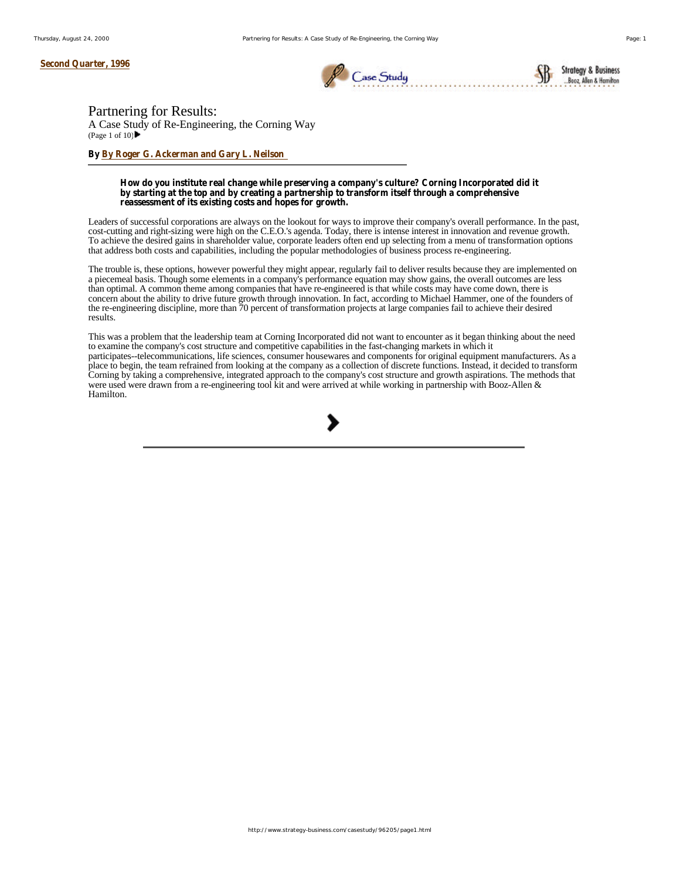

**Strategy & Business** Booz, Allen & Hamih

# Partnering for Results:

A Case Study of Re-Engineering, the Corning Way (Page 1 of 10) $\blacktriangleright$ 

**By By Roger G. Ackerman and Gary L. Neilson** 

## **How do you institute real change while preserving a company's culture? Corning Incorporated did it by starting at the top and by creating a partnership to transform itself through a comprehensive reassessment of its existing costs and hopes for growth.**

Leaders of successful corporations are always on the lookout for ways to improve their company's overall performance. In the past, cost-cutting and right-sizing were high on the C.E.O.'s agenda. Today, there is intense interest in innovation and revenue growth. To achieve the desired gains in shareholder value, corporate leaders often end up selecting from a menu of transformation options that address both costs and capabilities, including the popular methodologies of business process re-engineering.

The trouble is, these options, however powerful they might appear, regularly fail to deliver results because they are implemented on a piecemeal basis. Though some elements in a company's performance equation may show gains, the overall outcomes are less than optimal. A common theme among companies that have re-engineered is that while costs may have come down, there is concern about the ability to drive future growth through innovation. In fact, according to Michael Hammer, one of the founders of the re-engineering discipline, more than 70 percent of transformation projects at large companies fail to achieve their desired results.

This was a problem that the leadership team at Corning Incorporated did not want to encounter as it began thinking about the need to examine the company's cost structure and competitive capabilities in the fast-changing markets in which it participates--telecommunications, life sciences, consumer housewares and components for original equipment manufacturers. As a place to begin, the team refrained from looking at the company as a collection of discrete functions. Instead, it decided to transform Corning by taking a comprehensive, integrated approach to the company's cost structure and growth aspirations. The methods that were used were drawn from a re-engineering tool kit and were arrived at while working in partnership with Booz-Allen & Hamilton.

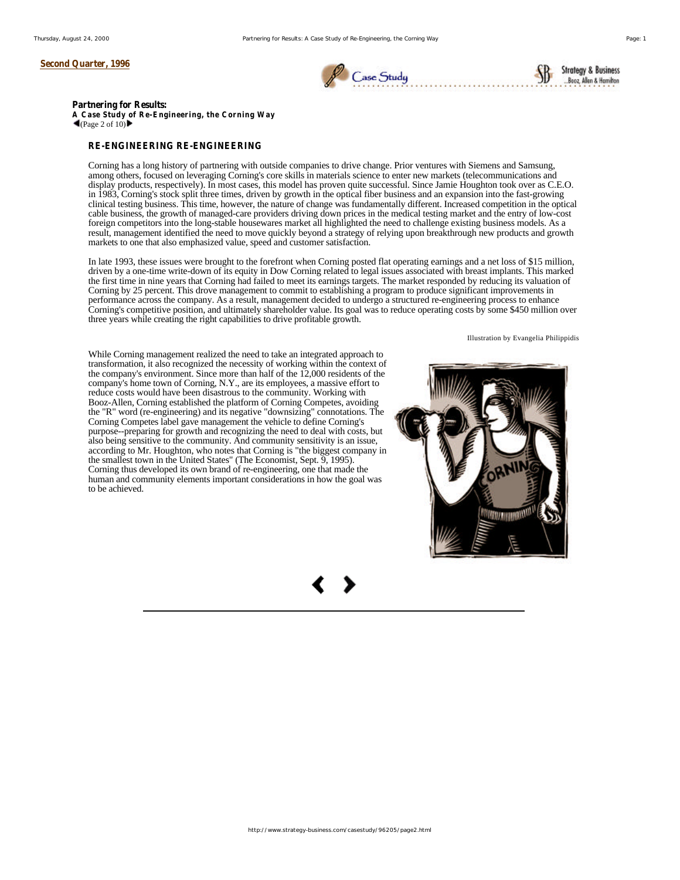

**Strategy & Business** Booz, Allen & Hamilton

**Partnering for Results:**

**A Case Study of Re-Engineering, the Corning Way**   $\blacktriangleleft$ (Page 2 of 10) $\blacktriangleright$ 

# **RE-ENGINEERING RE-ENGINEERING**

Corning has a long history of partnering with outside companies to drive change. Prior ventures with Siemens and Samsung, among others, focused on leveraging Corning's core skills in materials science to enter new markets (telecommunications and display products, respectively). In most cases, this model has proven quite successful. Since Jamie Houghton took over as C.E.O. in 1983, Corning's stock split three times, driven by growth in the optical fiber business and an expansion into the fast-growing clinical testing business. This time, however, the nature of change was fundamentally different. Increased competition in the optical cable business, the growth of managed-care providers driving down prices in the medical testing market and the entry of low-cost foreign competitors into the long-stable housewares market all highlighted the need to challenge existing business models. As a result, management identified the need to move quickly beyond a strategy of relying upon breakthrough new products and growth markets to one that also emphasized value, speed and customer satisfaction.

In late 1993, these issues were brought to the forefront when Corning posted flat operating earnings and a net loss of \$15 million, driven by a one-time write-down of its equity in Dow Corning related to legal issues associated with breast implants. This marked the first time in nine years that Corning had failed to meet its earnings targets. The market responded by reducing its valuation of Corning by 25 percent. This drove management to commit to establishing a program to produce significant improvements in performance across the company. As a result, management decided to undergo a structured re-engineering process to enhance Corning's competitive position, and ultimately shareholder value. Its goal was to reduce operating costs by some \$450 million over three years while creating the right capabilities to drive profitable growth.

#### Illustration by Evangelia Philippidis

While Corning management realized the need to take an integrated approach to transformation, it also recognized the necessity of working within the context of the company's environment. Since more than half of the 12,000 residents of the company's home town of Corning, N.Y., are its employees, a massive effort to reduce costs would have been disastrous to the community. Working with Booz-Allen, Corning established the platform of Corning Competes, avoiding the "R" word (re-engineering) and its negative "downsizing" connotations. The Corning Competes label gave management the vehicle to define Corning's purpose--preparing for growth and recognizing the need to deal with costs, but also being sensitive to the community. And community sensitivity is an issue, according to Mr. Houghton, who notes that Corning is "the biggest company in the smallest town in the United States" (The Economist, Sept. 9, 1995). Corning thus developed its own brand of re-engineering, one that made the human and community elements important considerations in how the goal was to be achieved.

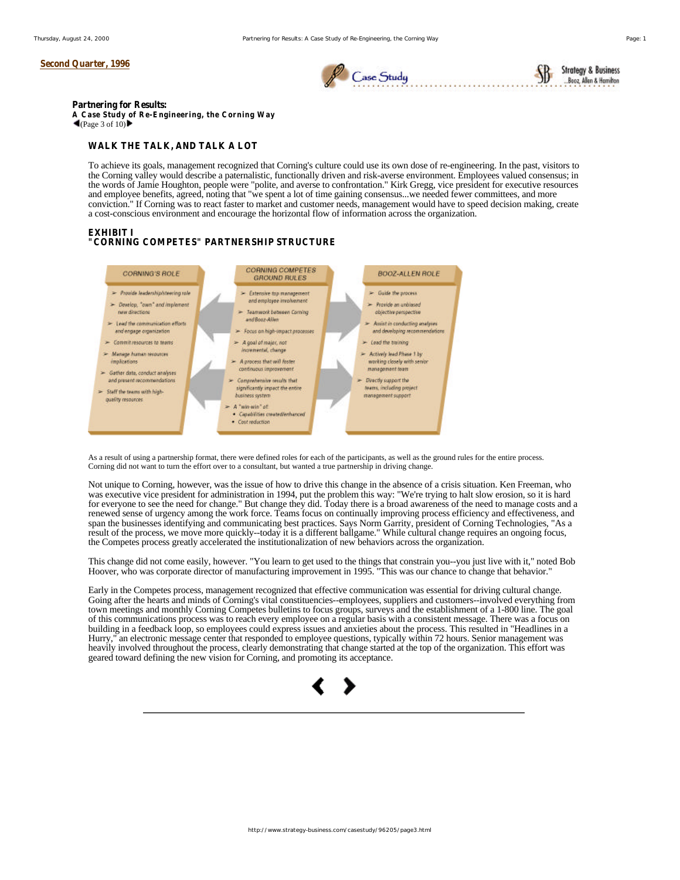

**Strategy & Business** 

Booz, Allen & Hamilton

**Partnering for Results:**

**A Case Study of Re-Engineering, the Corning Way**   $\bigtriangleup$ (Page 3 of 10) $\bigtriangledown$ 

# **WALK THE TALK, AND TALK A LOT**

To achieve its goals, management recognized that Corning's culture could use its own dose of re-engineering. In the past, visitors to the Corning valley would describe a paternalistic, functionally driven and risk-averse environment. Employees valued consensus; in the words of Jamie Houghton, people were "polite, and averse to confrontation." Kirk Gregg, vice president for executive resources and employee benefits, agreed, noting that "we spent a lot of time gaining consensus...we needed fewer committees, and more conviction." If Corning was to react faster to market and customer needs, management would have to speed decision making, create a cost-conscious environment and encourage the horizontal flow of information across the organization.

#### **EXHIBIT I "CORNING COMPETES" PARTNERSHIP STRUCTURE**



As a result of using a partnership format, there were defined roles for each of the participants, as well as the ground rules for the entire process. Corning did not want to turn the effort over to a consultant, but wanted a true partnership in driving change.

Not unique to Corning, however, was the issue of how to drive this change in the absence of a crisis situation. Ken Freeman, who was executive vice president for administration in 1994, put the problem this way: "We're trying to halt slow erosion, so it is hard for everyone to see the need for change." But change they did. Today there is a broad awareness of the need to manage costs and a renewed sense of urgency among the work force. Teams focus on continually improving process efficiency and effectiveness, and span the businesses identifying and communicating best practices. Says Norm Garrity, president of Corning Technologies, "As a result of the process, we move more quickly--today it is a different ballgame." While cultural change requires an ongoing focus, the Competes process greatly accelerated the institutionalization of new behaviors across the organization.

This change did not come easily, however. "You learn to get used to the things that constrain you--you just live with it," noted Bob Hoover, who was corporate director of manufacturing improvement in 1995. "This was our chance to change that behavior."

Early in the Competes process, management recognized that effective communication was essential for driving cultural change. Going after the hearts and minds of Corning's vital constituencies--employees, suppliers and customers--involved everything from town meetings and monthly Corning Competes bulletins to focus groups, surveys and the establishment of a 1-800 line. The goal of this communications process was to reach every employee on a regular basis with a consistent message. There was a focus on building in a feedback loop, so employees could express issues and anxieties about the process. This resulted in "Headlines in a Hurry," an electronic message center that responded to employee questions, typically within 72 hours. Senior management was heavily involved throughout the process, clearly demonstrating that change started at the top of the organization. This effort was geared toward defining the new vision for Corning, and promoting its acceptance.

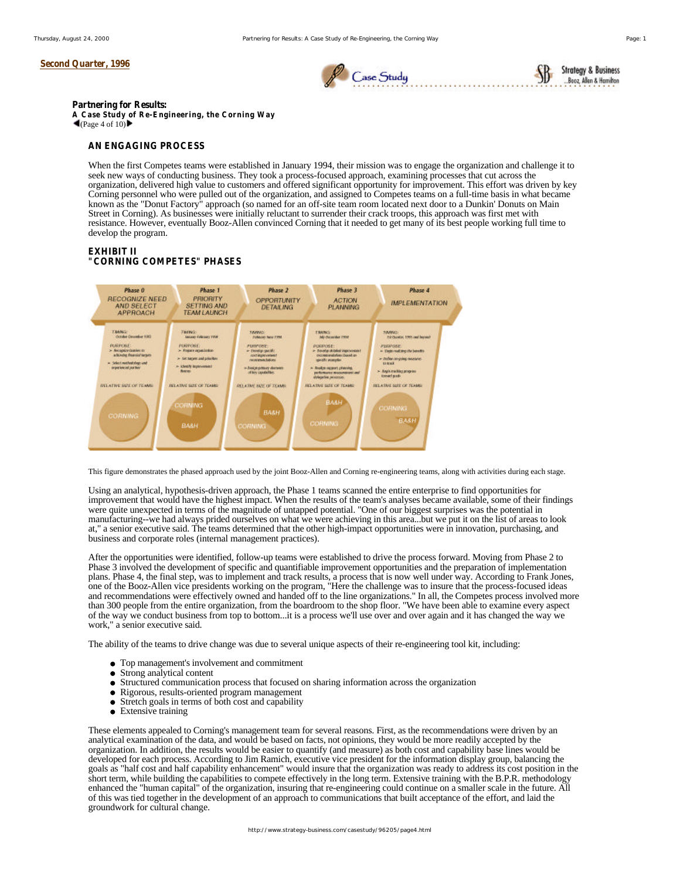

**Strategy & Business** 

..Booz, Allen & Hamilton

**Partnering for Results:**

**A Case Study of Re-Engineering, the Corning Way**   $\blacktriangleleft$ (Page 4 of 10) $\blacktriangleright$ 

# **AN ENGAGING PROCESS**

When the first Competes teams were established in January 1994, their mission was to engage the organization and challenge it to seek new ways of conducting business. They took a process-focused approach, examining processes that cut across the organization, delivered high value to customers and offered significant opportunity for improvement. This effort was driven by key Corning personnel who were pulled out of the organization, and assigned to Competes teams on a full-time basis in what became known as the "Donut Factory" approach (so named for an off-site team room located next door to a Dunkin' Donuts on Main Street in Corning). As businesses were initially reluctant to surrender their crack troops, this approach was first met with resistance. However, eventually Booz-Allen convinced Corning that it needed to get many of its best people working full time to develop the program.

# **EXHIBIT II "CORNING COMPETES" PHASES**



This figure demonstrates the phased approach used by the joint Booz-Allen and Corning re-engineering teams, along with activities during each stage.

Using an analytical, hypothesis-driven approach, the Phase 1 teams scanned the entire enterprise to find opportunities for improvement that would have the highest impact. When the results of the team's analyses became available, some of their findings were quite unexpected in terms of the magnitude of untapped potential. "One of our biggest surprises was the potential in manufacturing--we had always prided ourselves on what we were achieving in this area...but we put it on the list of areas to look at," a senior executive said. The teams determined that the other high-impact opportunities were in innovation, purchasing, and business and corporate roles (internal management practices).

After the opportunities were identified, follow-up teams were established to drive the process forward. Moving from Phase 2 to Phase 3 involved the development of specific and quantifiable improvement opportunities and the preparation of implementation plans. Phase 4, the final step, was to implement and track results, a process that is now well under way. According to Frank Jones, one of the Booz-Allen vice presidents working on the program, "Here the challenge was to insure that the process-focused ideas and recommendations were effectively owned and handed off to the line organizations." In all, the Competes process involved more than 300 people from the entire organization, from the boardroom to the shop floor. "We have been able to examine every aspect of the way we conduct business from top to bottom...it is a process we'll use over and over again and it has changed the way we work," a senior executive said.

The ability of the teams to drive change was due to several unique aspects of their re-engineering tool kit, including:

- 
- Top management's involvement and commitment
- Strong analytical content
- Structured communication process that focused on sharing information across the organization
- Rigorous, results-oriented program management
- Stretch goals in terms of both cost and capability
- Extensive training

These elements appealed to Corning's management team for several reasons. First, as the recommendations were driven by an analytical examination of the data, and would be based on facts, not opinions, they would be more readily accepted by the organization. In addition, the results would be easier to quantify (and measure) as both cost and capability base lines would be developed for each process. According to Jim Ramich, executive vice president for the information display group, balancing the goals as "half cost and half capability enhancement" would insure that the organization was ready to address its cost position in the short term, while building the capabilities to compete effectively in the long term. Extensive training with the B.P.R. methodology enhanced the "human capital" of the organization, insuring that re-engineering could continue on a smaller scale in the future. All of this was tied together in the development of an approach to communications that built acceptance of the effort, and laid the groundwork for cultural change.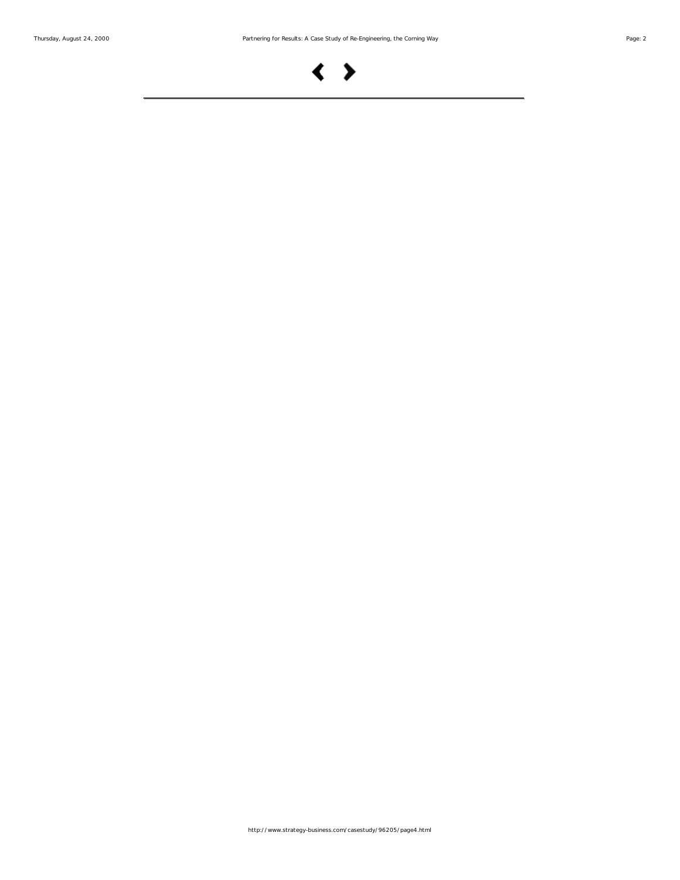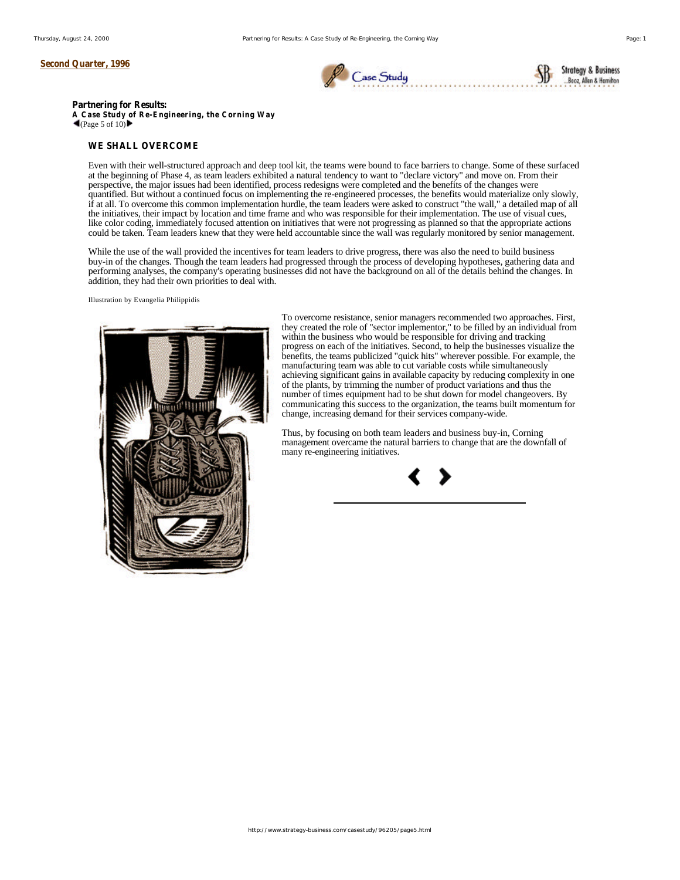

**Strategy & Business** Booz, Allen & Hamilton

**Partnering for Results:**

**A Case Study of Re-Engineering, the Corning Way**   $\blacktriangleleft$ (Page 5 of 10) $\blacktriangleright$ 

# **WE SHALL OVERCOME**

Even with their well-structured approach and deep tool kit, the teams were bound to face barriers to change. Some of these surfaced at the beginning of Phase 4, as team leaders exhibited a natural tendency to want to "declare victory" and move on. From their perspective, the major issues had been identified, process redesigns were completed and the benefits of the changes were quantified. But without a continued focus on implementing the re-engineered processes, the benefits would materialize only slowly, if at all. To overcome this common implementation hurdle, the team leaders were asked to construct "the wall," a detailed map of all the initiatives, their impact by location and time frame and who was responsible for their implementation. The use of visual cues, like color coding, immediately focused attention on initiatives that were not progressing as planned so that the appropriate actions could be taken. Team leaders knew that they were held accountable since the wall was regularly monitored by senior management.

While the use of the wall provided the incentives for team leaders to drive progress, there was also the need to build business buy-in of the changes. Though the team leaders had progressed through the process of developing hypotheses, gathering data and performing analyses, the company's operating businesses did not have the background on all of the details behind the changes. In addition, they had their own priorities to deal with.

Illustration by Evangelia Philippidis



To overcome resistance, senior managers recommended two approaches. First, they created the role of "sector implementor," to be filled by an individual from within the business who would be responsible for driving and tracking progress on each of the initiatives. Second, to help the businesses visualize the benefits, the teams publicized "quick hits" wherever possible. For example, the manufacturing team was able to cut variable costs while simultaneously achieving significant gains in available capacity by reducing complexity in one of the plants, by trimming the number of product variations and thus the number of times equipment had to be shut down for model changeovers. By communicating this success to the organization, the teams built momentum for change, increasing demand for their services company-wide.

Thus, by focusing on both team leaders and business buy-in, Corning management overcame the natural barriers to change that are the downfall of many re-engineering initiatives.

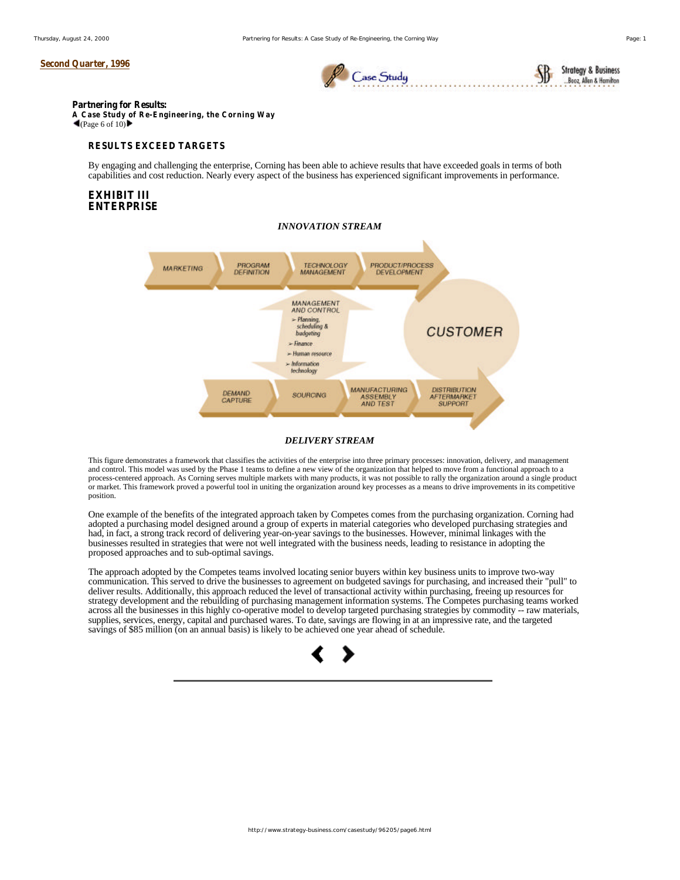

**Strategy & Business** 

Booz, Allen & Hamilton

## **Partnering for Results:**

**A Case Study of Re-Engineering, the Corning Way**   $\blacktriangleleft$ (Page 6 of 10) $\blacktriangleright$ 

# **RESULTS EXCEED TARGETS**

By engaging and challenging the enterprise, Corning has been able to achieve results that have exceeded goals in terms of both capabilities and cost reduction. Nearly every aspect of the business has experienced significant improvements in performance.

# **EXHIBIT III ENTERPRISE**





# *DELIVERY STREAM*

This figure demonstrates a framework that classifies the activities of the enterprise into three primary processes: innovation, delivery, and management and control. This model was used by the Phase 1 teams to define a new view of the organization that helped to move from a functional approach to a process-centered approach. As Corning serves multiple markets with many products, it was not possible to rally the organization around a single product or market. This framework proved a powerful tool in uniting the organization around key processes as a means to drive improvements in its competitive position.

One example of the benefits of the integrated approach taken by Competes comes from the purchasing organization. Corning had adopted a purchasing model designed around a group of experts in material categories who developed purchasing strategies and had, in fact, a strong track record of delivering year-on-year savings to the businesses. However, minimal linkages with the businesses resulted in strategies that were not well integrated with the business needs, leading to resistance in adopting the proposed approaches and to sub-optimal savings.

The approach adopted by the Competes teams involved locating senior buyers within key business units to improve two-way communication. This served to drive the businesses to agreement on budgeted savings for purchasing, and increased their "pull" to deliver results. Additionally, this approach reduced the level of transactional activity within purchasing, freeing up resources for strategy development and the rebuilding of purchasing management information systems. The Competes purchasing teams worked across all the businesses in this highly co-operative model to develop targeted purchasing strategies by commodity -- raw materials, supplies, services, energy, capital and purchased wares. To date, savings are flowing in at an impressive rate, and the targeted savings of \$85 million (on an annual basis) is likely to be achieved one year ahead of schedule.

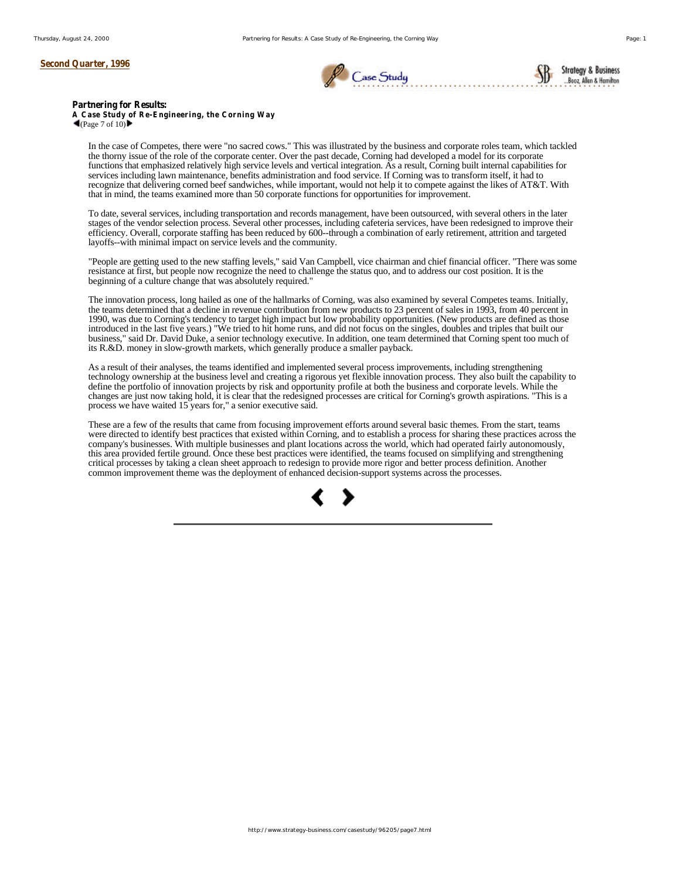

**Strategy & Business** 

Booz, Allen & Hamih

# **Partnering for Results:**

**A Case Study of Re-Engineering, the Corning Way**   $\blacktriangleleft$ (Page 7 of 10) $\blacktriangleright$ 

In the case of Competes, there were "no sacred cows." This was illustrated by the business and corporate roles team, which tackled the thorny issue of the role of the corporate center. Over the past decade, Corning had developed a model for its corporate functions that emphasized relatively high service levels and vertical integration. As a result, Corning built internal capabilities for services including lawn maintenance, benefits administration and food service. If Corning was to transform itself, it had to recognize that delivering corned beef sandwiches, while important, would not help it to compete against the likes of AT&T. With that in mind, the teams examined more than 50 corporate functions for opportunities for improvement.

To date, several services, including transportation and records management, have been outsourced, with several others in the later stages of the vendor selection process. Several other processes, including cafeteria services, have been redesigned to improve their efficiency. Overall, corporate staffing has been reduced by 600--through a combination of early retirement, attrition and targeted layoffs--with minimal impact on service levels and the community.

"People are getting used to the new staffing levels," said Van Campbell, vice chairman and chief financial officer. "There was some resistance at first, but people now recognize the need to challenge the status quo, and to address our cost position. It is the beginning of a culture change that was absolutely required."

The innovation process, long hailed as one of the hallmarks of Corning, was also examined by several Competes teams. Initially, the teams determined that a decline in revenue contribution from new products to 23 percent of sales in 1993, from 40 percent in 1990, was due to Corning's tendency to target high impact but low probability opportunities. (New products are defined as those introduced in the last five years.) "We tried to hit home runs, and did not focus on the singles, doubles and triples that built our business," said Dr. David Duke, a senior technology executive. In addition, one team determined that Corning spent too much of its R.&D. money in slow-growth markets, which generally produce a smaller payback.

As a result of their analyses, the teams identified and implemented several process improvements, including strengthening technology ownership at the business level and creating a rigorous yet flexible innovation process. They also built the capability to define the portfolio of innovation projects by risk and opportunity profile at both the business and corporate levels. While the changes are just now taking hold, it is clear that the redesigned processes are critical for Corning's growth aspirations. "This is a process we have waited 15 years for," a senior executive said.

These are a few of the results that came from focusing improvement efforts around several basic themes. From the start, teams were directed to identify best practices that existed within Corning, and to establish a process for sharing these practices across the company's businesses. With multiple businesses and plant locations across the world, which had operated fairly autonomously, this area provided fertile ground. Once these best practices were identified, the teams focused on simplifying and strengthening critical processes by taking a clean sheet approach to redesign to provide more rigor and better process definition. Another common improvement theme was the deployment of enhanced decision-support systems across the processes.

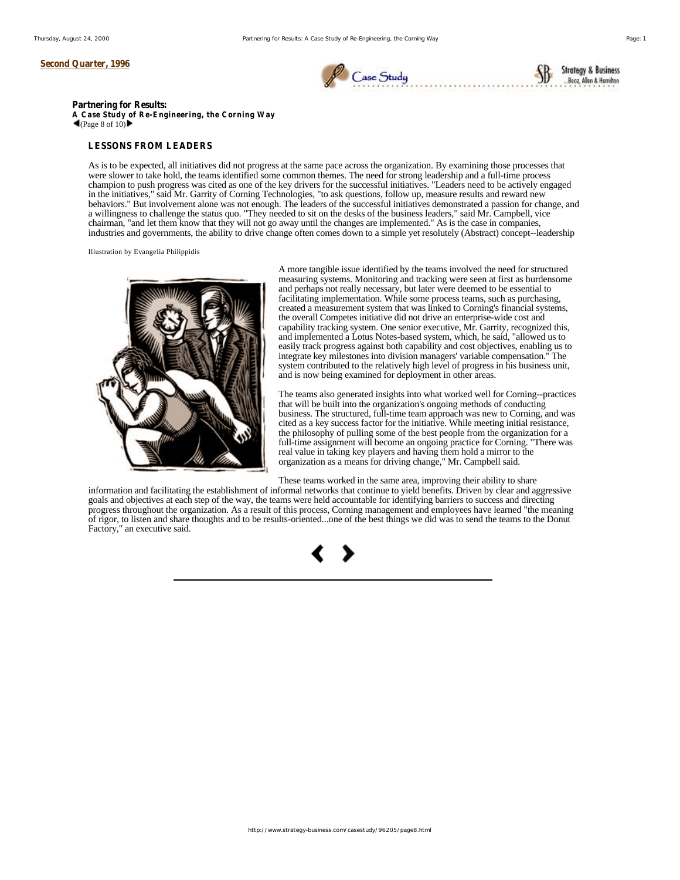

```
Strategy & Business
Booz, Allen & Hamilton
```
**Partnering for Results: A Case Study of Re-Engineering, the Corning Way** 

 $\blacktriangleleft$ (Page 8 of 10) $\blacktriangleright$ 

# **LESSONS FROM LEADERS**

As is to be expected, all initiatives did not progress at the same pace across the organization. By examining those processes that were slower to take hold, the teams identified some common themes. The need for strong leadership and a full-time process champion to push progress was cited as one of the key drivers for the successful initiatives. "Leaders need to be actively engaged in the initiatives," said Mr. Garrity of Corning Technologies, "to ask questions, follow up, measure results and reward new behaviors." But involvement alone was not enough. The leaders of the successful initiatives demonstrated a passion for change, and a willingness to challenge the status quo. "They needed to sit on the desks of the business leaders," said Mr. Campbell, vice chairman, "and let them know that they will not go away until the changes are implemented." As is the case in companies, industries and governments, the ability to drive change often comes down to a simple yet resolutely (Abstract) concept--leadership

Illustration by Evangelia Philippidis



A more tangible issue identified by the teams involved the need for structured measuring systems. Monitoring and tracking were seen at first as burdensome and perhaps not really necessary, but later were deemed to be essential to facilitating implementation. While some process teams, such as purchasing, created a measurement system that was linked to Corning's financial systems, the overall Competes initiative did not drive an enterprise-wide cost and capability tracking system. One senior executive, Mr. Garrity, recognized this, and implemented a Lotus Notes-based system, which, he said, "allowed us to easily track progress against both capability and cost objectives, enabling us to integrate key milestones into division managers' variable compensation." The system contributed to the relatively high level of progress in his business unit, and is now being examined for deployment in other areas.

The teams also generated insights into what worked well for Corning--practices that will be built into the organization's ongoing methods of conducting business. The structured, full-time team approach was new to Corning, and was cited as a key success factor for the initiative. While meeting initial resistance, the philosophy of pulling some of the best people from the organization for a full-time assignment will become an ongoing practice for Corning. "There was real value in taking key players and having them hold a mirror to the organization as a means for driving change," Mr. Campbell said.

These teams worked in the same area, improving their ability to share

information and facilitating the establishment of informal networks that continue to yield benefits. Driven by clear and aggressive goals and objectives at each step of the way, the teams were held accountable for identifying barriers to success and directing progress throughout the organization. As a result of this process, Corning management and employees have learned "the meaning of rigor, to listen and share thoughts and to be results-oriented...one of the best things we did was to send the teams to the Donut Factory," an executive said.

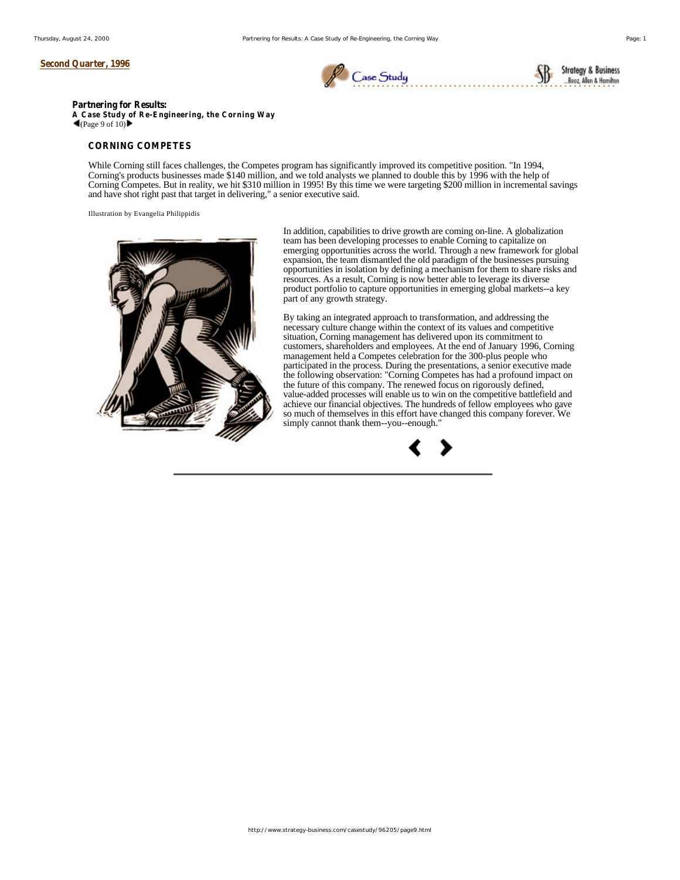

**Strategy & Business** Booz, Allen & Hamilton

# **Partnering for Results:**

**A Case Study of Re-Engineering, the Corning Way**   $\bigtriangleup$ (Page 9 of 10) $\bigtriangledown$ 

# **CORNING COMPETES**

While Corning still faces challenges, the Competes program has significantly improved its competitive position. "In 1994, Corning's products businesses made \$140 million, and we told analysts we planned to double this by 1996 with the help of Corning Competes. But in reality, we hit \$310 million in 1995! By this time we were targeting \$200 million in incremental savings and have shot right past that target in delivering," a senior executive said.

Illustration by Evangelia Philippidis



In addition, capabilities to drive growth are coming on-line. A globalization team has been developing processes to enable Corning to capitalize on emerging opportunities across the world. Through a new framework for global expansion, the team dismantled the old paradigm of the businesses pursuing opportunities in isolation by defining a mechanism for them to share risks and resources. As a result, Corning is now better able to leverage its diverse product portfolio to capture opportunities in emerging global markets--a key part of any growth strategy.

By taking an integrated approach to transformation, and addressing the necessary culture change within the context of its values and competitive situation, Corning management has delivered upon its commitment to customers, shareholders and employees. At the end of January 1996, Corning management held a Competes celebration for the 300-plus people who participated in the process. During the presentations, a senior executive made the following observation: "Corning Competes has had a profound impact on the future of this company. The renewed focus on rigorously defined, value-added processes will enable us to win on the competitive battlefield and achieve our financial objectives. The hundreds of fellow employees who gave so much of themselves in this effort have changed this company forever. We simply cannot thank them--you--enough."